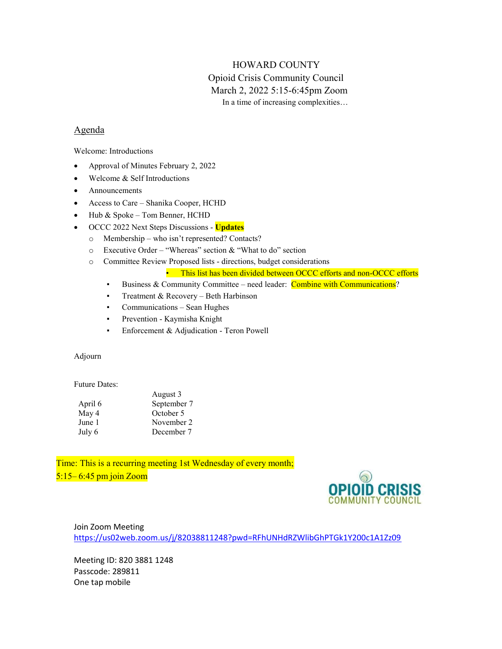# HOWARD COUNTY

# Opioid Crisis Community Council March 2, 2022 5:15-6:45pm Zoom In a time of increasing complexities…

## Agenda

Welcome: Introductions

- Approval of Minutes February 2, 2022
- Welcome & Self Introductions
- Announcements
- Access to Care Shanika Cooper, HCHD
- Hub & Spoke Tom Benner, HCHD
- OCCC 2022 Next Steps Discussions Updates
	- o Membership who isn't represented? Contacts?
	- o Executive Order "Whereas" section & "What to do" section
	- o Committee Review Proposed lists directions, budget considerations

• This list has been divided between OCCC efforts and non-OCCC efforts

- **E** Business & Community Committee need leader: Combine with Communications?
- **•** Treatment & Recovery Beth Harbinson
- Communications Sean Hughes
- Prevention Kaymisha Knight
- **•** Enforcement & Adjudication Teron Powell

### Adjourn

#### Future Dates:

|         | August 3    |
|---------|-------------|
| April 6 | September 7 |
| May 4   | October 5   |
| June 1  | November 2  |
| July 6  | December 7  |

Time: This is a recurring meeting 1st Wednesday of every month; 5:15– 6:45 pm join Zoom



### Join Zoom Meeting https://us02web.zoom.us/j/82038811248?pwd=RFhUNHdRZWlibGhPTGk1Y200c1A1Zz09

Meeting ID: 820 3881 1248 Passcode: 289811 One tap mobile